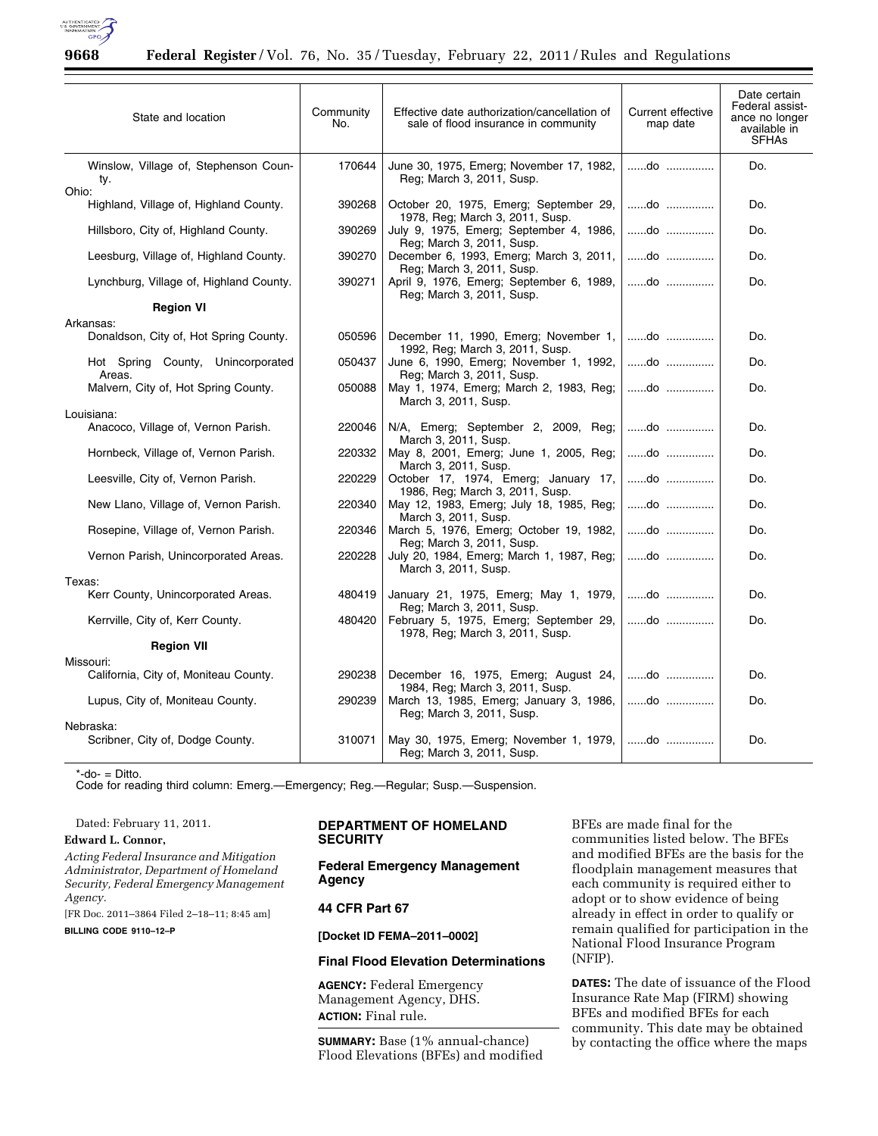

| State and location                                  | Community<br>No. | Effective date authorization/cancellation of<br>sale of flood insurance in community                    | Current effective<br>map date | Date certain<br>Federal assist-<br>ance no longer<br>available in<br><b>SFHAs</b> |
|-----------------------------------------------------|------------------|---------------------------------------------------------------------------------------------------------|-------------------------------|-----------------------------------------------------------------------------------|
| Winslow, Village of, Stephenson Coun-<br>ty.        | 170644           | June 30, 1975, Emerg; November 17, 1982,<br>Reg; March 3, 2011, Susp.                                   | do                            | Do.                                                                               |
| Ohio:<br>Highland, Village of, Highland County.     | 390268           | October 20, 1975, Emerg; September 29,                                                                  | do                            | Do.                                                                               |
|                                                     |                  | 1978, Reg; March 3, 2011, Susp.                                                                         |                               |                                                                                   |
| Hillsboro, City of, Highland County.                | 390269           | July 9, 1975, Emerg; September 4, 1986,<br>Reg; March 3, 2011, Susp.                                    | do                            | Do.                                                                               |
| Leesburg, Village of, Highland County.              | 390270           | December 6, 1993, Emerg; March 3, 2011,                                                                 | do                            | Do.                                                                               |
| Lynchburg, Village of, Highland County.             | 390271           | Reg; March 3, 2011, Susp.<br>April 9, 1976, Emerg; September 6, 1989,<br>Reg; March 3, 2011, Susp.      | do                            | Do.                                                                               |
| <b>Region VI</b>                                    |                  |                                                                                                         |                               |                                                                                   |
| Arkansas:<br>Donaldson, City of, Hot Spring County. | 050596           | December 11, 1990, Emerg; November 1,<br>1992, Reg; March 3, 2011, Susp.                                | do                            | Do.                                                                               |
| Hot Spring County, Unincorporated<br>Areas.         | 050437           | June 6, 1990, Emerg; November 1, 1992,<br>Reg; March 3, 2011, Susp.                                     | do                            | Do.                                                                               |
| Malvern, City of, Hot Spring County.                | 050088           | May 1, 1974, Emerg; March 2, 1983, Reg;<br>March 3, 2011, Susp.                                         | do                            | Do.                                                                               |
| Louisiana:                                          |                  |                                                                                                         |                               |                                                                                   |
| Anacoco, Village of, Vernon Parish.                 | 220046           | N/A, Emerg; September 2, 2009, Reg;<br>March 3, 2011, Susp.                                             | do                            | Do.                                                                               |
| Hornbeck, Village of, Vernon Parish.                | 220332           | May 8, 2001, Emerg; June 1, 2005, Reg;<br>March 3, 2011, Susp.                                          | do                            | Do.                                                                               |
| Leesville, City of, Vernon Parish.                  | 220229           | October 17, 1974, Emerg; January 17,<br>1986, Reg; March 3, 2011, Susp.                                 | do                            | Do.                                                                               |
| New Llano, Village of, Vernon Parish.               | 220340           | May 12, 1983, Emerg; July 18, 1985, Reg;<br>March 3, 2011, Susp.                                        | do                            | Do.                                                                               |
| Rosepine, Village of, Vernon Parish.                | 220346           | March 5, 1976, Emerg; October 19, 1982,<br>Reg: March 3, 2011, Susp.                                    | do                            | Do.                                                                               |
| Vernon Parish, Unincorporated Areas.                | 220228           | July 20, 1984, Emerg; March 1, 1987, Reg;<br>March 3, 2011, Susp.                                       | do                            | Do.                                                                               |
| Texas:                                              |                  |                                                                                                         |                               |                                                                                   |
| Kerr County, Unincorporated Areas.                  | 480419           | January 21, 1975, Emerg; May 1, 1979,<br>Reg; March 3, 2011, Susp.                                      | do                            | Do.                                                                               |
| Kerrville, City of, Kerr County.                    | 480420           | February 5, 1975, Emerg; September 29,<br>1978, Reg; March 3, 2011, Susp.                               | do                            | Do.                                                                               |
| <b>Region VII</b>                                   |                  |                                                                                                         |                               |                                                                                   |
| Missouri:<br>California, City of, Moniteau County.  | 290238           | December 16, 1975, Emerg; August 24,                                                                    | do                            | Do.                                                                               |
| Lupus, City of, Moniteau County.                    | 290239           | 1984, Reg; March 3, 2011, Susp.<br>March 13, 1985, Emerg; January 3, 1986,<br>Reg; March 3, 2011, Susp. | do                            | Do.                                                                               |
| Nebraska:                                           |                  |                                                                                                         |                               |                                                                                   |
| Scribner, City of, Dodge County.                    | 310071           | May 30, 1975, Emerg; November 1, 1979,   do<br>Reg; March 3, 2011, Susp.                                |                               | Do.                                                                               |

 $*$ -do- = Ditto.

Code for reading third column: Emerg.—Emergency; Reg.—Regular; Susp.—Suspension.

Dated: February 11, 2011.

# **Edward L. Connor,**

*Acting Federal Insurance and Mitigation Administrator, Department of Homeland Security, Federal Emergency Management Agency.* 

[FR Doc. 2011–3864 Filed 2–18–11; 8:45 am]

**BILLING CODE 9110–12–P** 

# **DEPARTMENT OF HOMELAND SECURITY**

# **Federal Emergency Management Agency**

# **44 CFR Part 67**

**[Docket ID FEMA–2011–0002]** 

#### **Final Flood Elevation Determinations**

**AGENCY:** Federal Emergency Management Agency, DHS. **ACTION:** Final rule.

**SUMMARY:** Base (1% annual-chance) Flood Elevations (BFEs) and modified

BFEs are made final for the communities listed below. The BFEs and modified BFEs are the basis for the floodplain management measures that each community is required either to adopt or to show evidence of being already in effect in order to qualify or remain qualified for participation in the National Flood Insurance Program (NFIP).

**DATES:** The date of issuance of the Flood Insurance Rate Map (FIRM) showing BFEs and modified BFEs for each community. This date may be obtained by contacting the office where the maps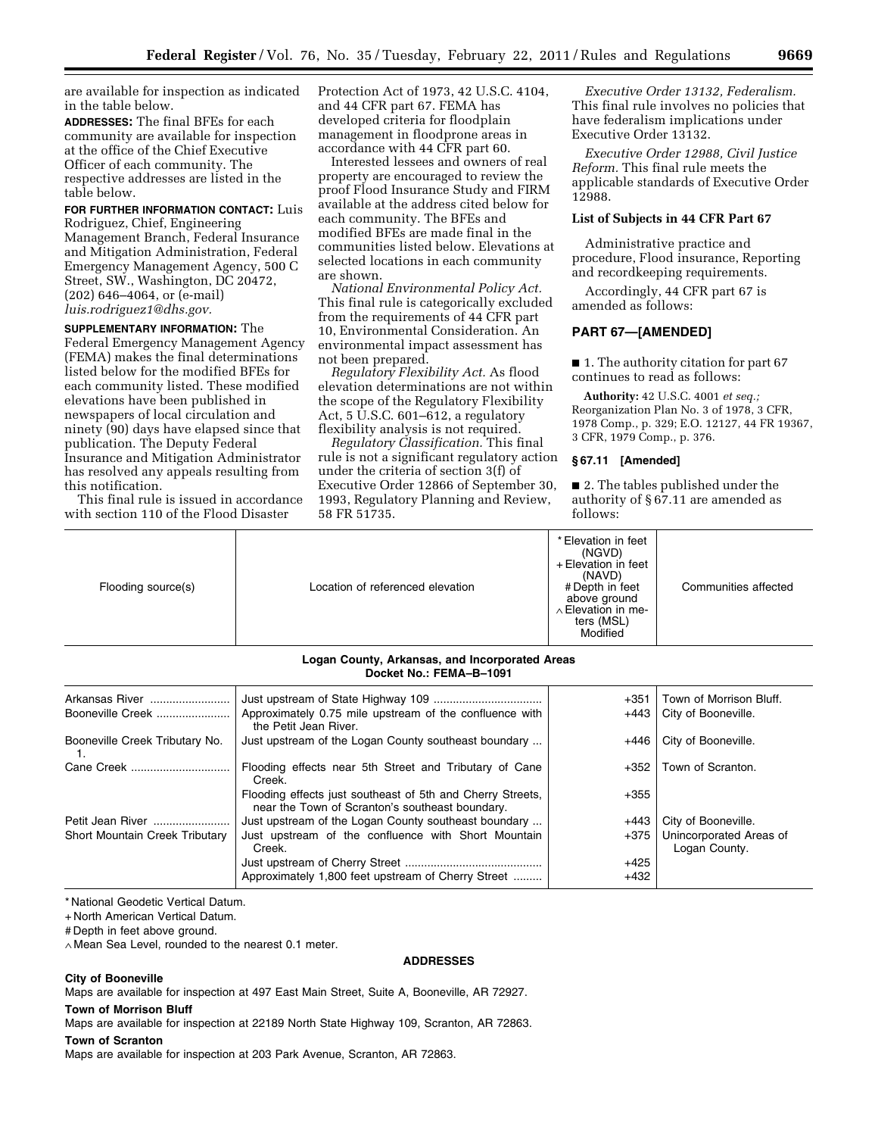are available for inspection as indicated in the table below.

**ADDRESSES:** The final BFEs for each community are available for inspection at the office of the Chief Executive Officer of each community. The respective addresses are listed in the table below.

# **FOR FURTHER INFORMATION CONTACT:** Luis

Rodriguez, Chief, Engineering Management Branch, Federal Insurance and Mitigation Administration, Federal Emergency Management Agency, 500 C Street, SW., Washington, DC 20472, (202) 646–4064, or (e-mail) *[luis.rodriguez1@dhs.gov.](mailto:luis.rodriguez1@dhs.gov)* 

# **SUPPLEMENTARY INFORMATION:** The Federal Emergency Management Agency (FEMA) makes the final determinations listed below for the modified BFEs for each community listed. These modified elevations have been published in newspapers of local circulation and ninety (90) days have elapsed since that

publication. The Deputy Federal Insurance and Mitigation Administrator has resolved any appeals resulting from this notification.

This final rule is issued in accordance with section 110 of the Flood Disaster

Protection Act of 1973, 42 U.S.C. 4104, and 44 CFR part 67. FEMA has developed criteria for floodplain management in floodprone areas in accordance with 44 CFR part 60.

Interested lessees and owners of real property are encouraged to review the proof Flood Insurance Study and FIRM available at the address cited below for each community. The BFEs and modified BFEs are made final in the communities listed below. Elevations at selected locations in each community are shown.

*National Environmental Policy Act.*  This final rule is categorically excluded from the requirements of 44 CFR part 10, Environmental Consideration. An environmental impact assessment has not been prepared.

*Regulatory Flexibility Act.* As flood elevation determinations are not within the scope of the Regulatory Flexibility Act, 5 U.S.C. 601–612, a regulatory flexibility analysis is not required.

*Regulatory Classification.* This final rule is not a significant regulatory action under the criteria of section 3(f) of Executive Order 12866 of September 30, 1993, Regulatory Planning and Review, 58 FR 51735.

*Executive Order 13132, Federalism.*  This final rule involves no policies that have federalism implications under Executive Order 13132.

*Executive Order 12988, Civil Justice Reform.* This final rule meets the applicable standards of Executive Order 12988.

## **List of Subjects in 44 CFR Part 67**

Administrative practice and procedure, Flood insurance, Reporting and recordkeeping requirements.

Accordingly, 44 CFR part 67 is amended as follows:

## **PART 67—[AMENDED]**

■ 1. The authority citation for part 67 continues to read as follows:

**Authority:** 42 U.S.C. 4001 *et seq.;*  Reorganization Plan No. 3 of 1978, 3 CFR, 1978 Comp., p. 329; E.O. 12127, 44 FR 19367, 3 CFR, 1979 Comp., p. 376.

#### **§ 67.11 [Amended]**

■ 2. The tables published under the authority of § 67.11 are amended as follows:

| + Elevation in feet<br>(NAVD)<br>Communities affected<br># Depth in feet<br>above ground<br>$\land$ Elevation in me-<br>ters (MSL)<br>Modified |
|------------------------------------------------------------------------------------------------------------------------------------------------|
|                                                                                                                                                |

#### **Logan County, Arkansas, and Incorporated Areas Docket No.: FEMA–B–1091**

| Arkansas River                 |                                                                                                               | $+351$ | Town of Morrison Bluff.                  |
|--------------------------------|---------------------------------------------------------------------------------------------------------------|--------|------------------------------------------|
| Booneville Creek               | Approximately 0.75 mile upstream of the confluence with<br>the Petit Jean River.                              | $+443$ | City of Booneville.                      |
| Booneville Creek Tributary No. | Just upstream of the Logan County southeast boundary                                                          | +446   | City of Booneville.                      |
| Cane Creek                     | Flooding effects near 5th Street and Tributary of Cane<br>Creek.                                              | $+352$ | Town of Scranton.                        |
|                                | Flooding effects just southeast of 5th and Cherry Streets,<br>near the Town of Scranton's southeast boundary. | $+355$ |                                          |
| Petit Jean River               | Just upstream of the Logan County southeast boundary                                                          | +443   | City of Booneville.                      |
| Short Mountain Creek Tributary | Just upstream of the confluence with Short Mountain<br>Creek.                                                 | +375   | Unincorporated Areas of<br>Logan County. |
|                                |                                                                                                               | $+425$ |                                          |
|                                | Approximately 1,800 feet upstream of Cherry Street                                                            | $+432$ |                                          |

**ADDRESSES** 

\* National Geodetic Vertical Datum.

+ North American Vertical Datum.

# Depth in feet above ground.

∧ Mean Sea Level, rounded to the nearest 0.1 meter.

## **City of Booneville**

Maps are available for inspection at 497 East Main Street, Suite A, Booneville, AR 72927.

#### **Town of Morrison Bluff**

Maps are available for inspection at 22189 North State Highway 109, Scranton, AR 72863.

#### **Town of Scranton**

Maps are available for inspection at 203 Park Avenue, Scranton, AR 72863.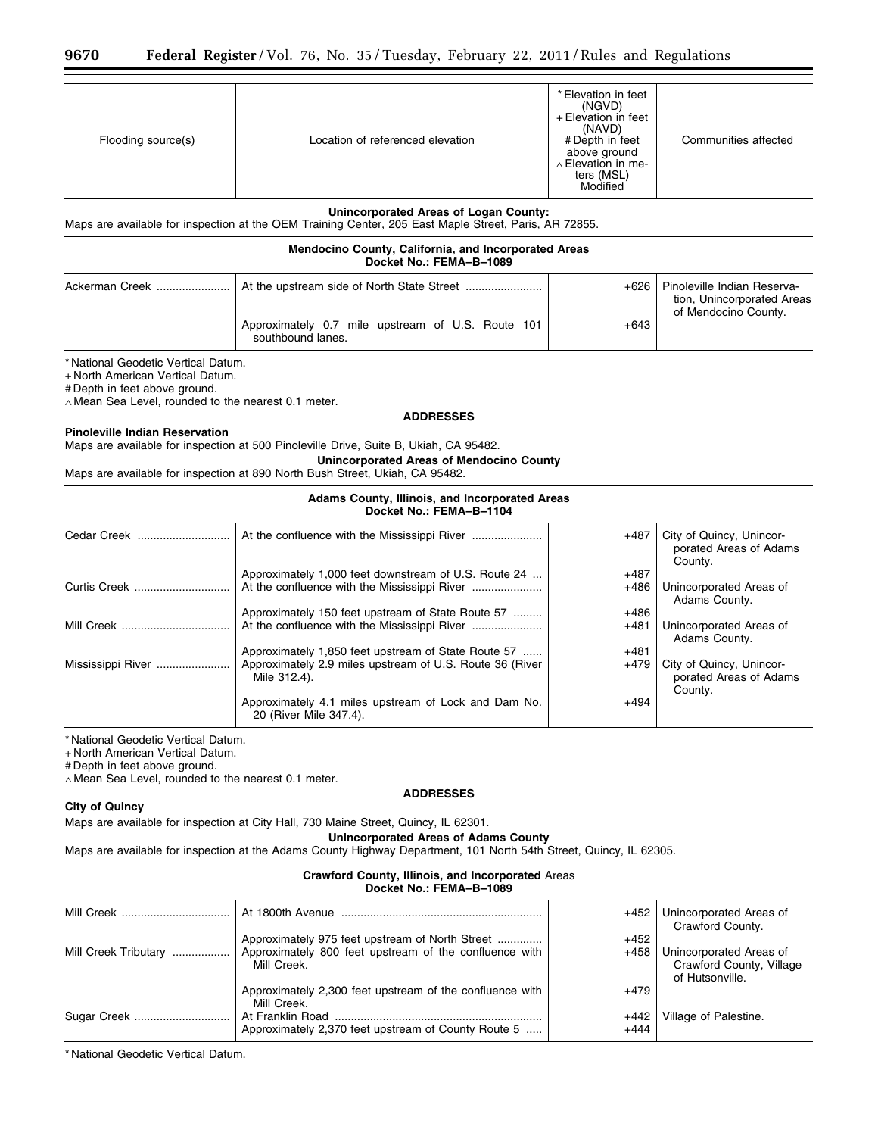| Flooding source(s)                                                                                                                                                    | Location of referenced elevation                                                                                                                                                                                                                                                               | * Elevation in feet<br>(NGVD)<br>+ Elevation in feet<br>(NAVD)<br># Depth in feet<br>above ground<br>$\land$ Elevation in me-<br>ters (MSL)<br>Modified | Communities affected                                          |
|-----------------------------------------------------------------------------------------------------------------------------------------------------------------------|------------------------------------------------------------------------------------------------------------------------------------------------------------------------------------------------------------------------------------------------------------------------------------------------|---------------------------------------------------------------------------------------------------------------------------------------------------------|---------------------------------------------------------------|
|                                                                                                                                                                       | Unincorporated Areas of Logan County:<br>Maps are available for inspection at the OEM Training Center, 205 East Maple Street, Paris, AR 72855.                                                                                                                                                 |                                                                                                                                                         |                                                               |
|                                                                                                                                                                       | Mendocino County, California, and Incorporated Areas<br>Docket No.: FEMA-B-1089                                                                                                                                                                                                                |                                                                                                                                                         |                                                               |
| Ackerman Creek                                                                                                                                                        |                                                                                                                                                                                                                                                                                                | $+626$                                                                                                                                                  | Pinoleville Indian Reserva-<br>tion, Unincorporated Areas     |
|                                                                                                                                                                       | Approximately 0.7 mile upstream of U.S. Route 101<br>southbound lanes.                                                                                                                                                                                                                         | $+643$                                                                                                                                                  | of Mendocino County.                                          |
| # Depth in feet above ground.<br>$\land$ Mean Sea Level, rounded to the nearest 0.1 meter.<br><b>Pinoleville Indian Reservation</b>                                   | <b>ADDRESSES</b><br>Maps are available for inspection at 500 Pinoleville Drive, Suite B, Ukiah, CA 95482.<br><b>Unincorporated Areas of Mendocino County</b><br>Maps are available for inspection at 890 North Bush Street, Ukiah, CA 95482.<br>Adams County, Illinois, and Incorporated Areas |                                                                                                                                                         |                                                               |
|                                                                                                                                                                       | Docket No.: FEMA-B-1104                                                                                                                                                                                                                                                                        |                                                                                                                                                         |                                                               |
| Cedar Creek                                                                                                                                                           | Approximately 1,000 feet downstream of U.S. Route 24                                                                                                                                                                                                                                           | $+487$<br>$+487$                                                                                                                                        | City of Quincy, Unincor-<br>porated Areas of Adams<br>County. |
| Curtis Creek                                                                                                                                                          |                                                                                                                                                                                                                                                                                                | $+486$                                                                                                                                                  | Unincorporated Areas of<br>Adams County.                      |
|                                                                                                                                                                       | Approximately 150 feet upstream of State Route 57<br>At the confluence with the Mississippi River                                                                                                                                                                                              | $+486$<br>$+481$                                                                                                                                        | Unincorporated Areas of<br>Adams County.                      |
| Mississippi River                                                                                                                                                     | Approximately 1,850 feet upstream of State Route 57<br>Approximately 2.9 miles upstream of U.S. Route 36 (River<br>Mile 312.4).                                                                                                                                                                | $+481$<br>$+479$                                                                                                                                        | City of Quincy, Unincor-<br>porated Areas of Adams<br>County. |
|                                                                                                                                                                       | Approximately 4.1 miles upstream of Lock and Dam No.<br>20 (River Mile 347.4).                                                                                                                                                                                                                 | $+494$                                                                                                                                                  |                                                               |
| * National Geodetic Vertical Datum.<br>+ North American Vertical Datum.<br># Depth in feet above ground.<br>$\land$ Mean Sea Level, rounded to the nearest 0.1 meter. | <b>ADDRESSES</b>                                                                                                                                                                                                                                                                               |                                                                                                                                                         |                                                               |

# **City of Quincy**

Maps are available for inspection at City Hall, 730 Maine Street, Quincy, IL 62301.

# **Unincorporated Areas of Adams County**

Maps are available for inspection at the Adams County Highway Department, 101 North 54th Street, Quincy, IL 62305.

#### **Crawford County, Illinois, and Incorporated** Areas **Docket No.: FEMA–B–1089**

|                      | At 1800th Avenue                                                        | +452         | Unincorporated Areas of<br>Crawford County.                            |
|----------------------|-------------------------------------------------------------------------|--------------|------------------------------------------------------------------------|
|                      | Approximately 975 feet upstream of North Street                         | $+452$       |                                                                        |
| Mill Creek Tributary | Approximately 800 feet upstream of the confluence with<br>Mill Creek.   | $+458$       | Unincorporated Areas of<br>Crawford County, Village<br>of Hutsonville. |
|                      | Approximately 2,300 feet upstream of the confluence with<br>Mill Creek. | $+479$       |                                                                        |
| Sugar Creek          | Approximately 2,370 feet upstream of County Route 5                     | +442<br>+444 | Village of Palestine.                                                  |

\* National Geodetic Vertical Datum.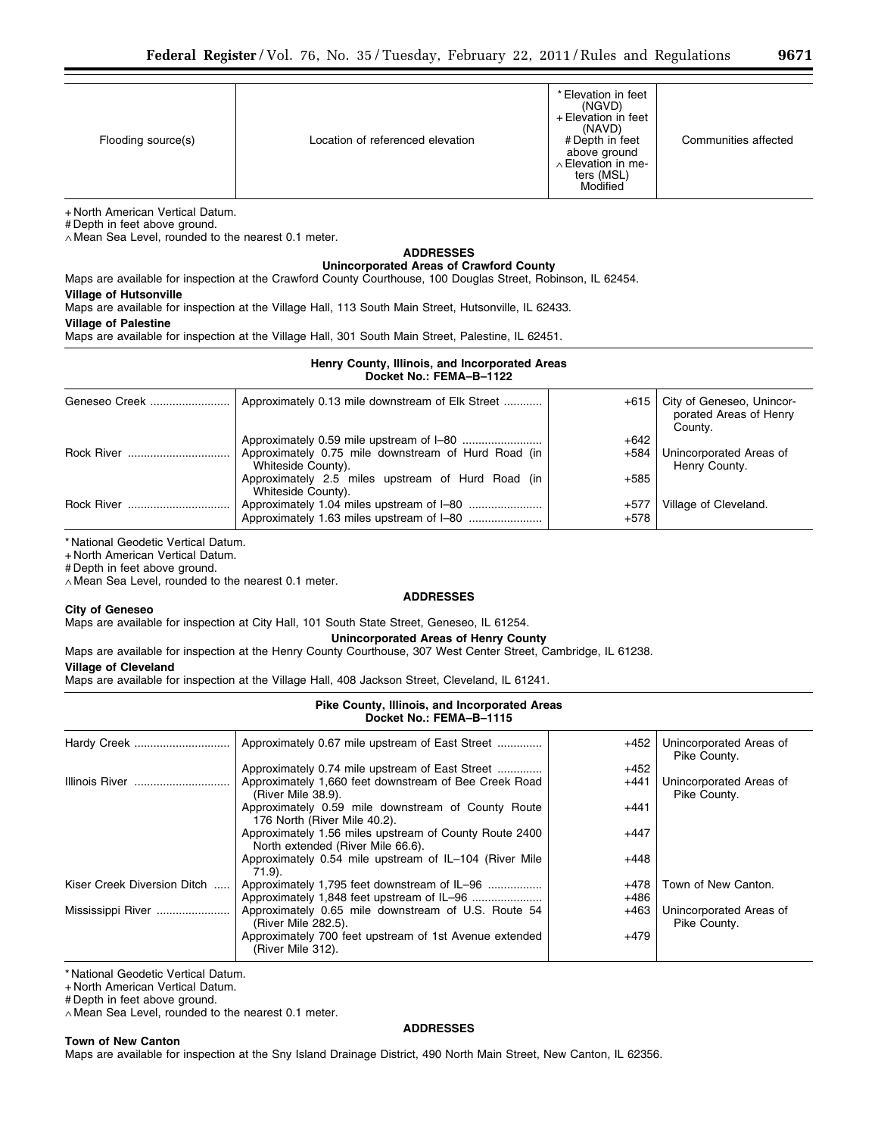| Flooding source(s) | Location of referenced elevation | * Elevation in feet<br>(NGVD)<br>+ Elevation in feet<br>(NAVD)<br># Depth in feet<br>above ground<br>$\land$ Elevation in me-<br>ters (MSL)<br>Modified | Communities affected |
|--------------------|----------------------------------|---------------------------------------------------------------------------------------------------------------------------------------------------------|----------------------|

+ North American Vertical Datum.

# Depth in feet above ground.

∧ Mean Sea Level, rounded to the nearest 0.1 meter.

#### **ADDRESSES Unincorporated Areas of Crawford County**

Maps are available for inspection at the Crawford County Courthouse, 100 Douglas Street, Robinson, IL 62454.

# **Village of Hutsonville**

Maps are available for inspection at the Village Hall, 113 South Main Street, Hutsonville, IL 62433.

# **Village of Palestine**

Maps are available for inspection at the Village Hall, 301 South Main Street, Palestine, IL 62451.

| Henry County, Illinois, and Incorporated Areas<br>Docket No.: FEMA-B-1122 |                                                                                 |  |                                                            |
|---------------------------------------------------------------------------|---------------------------------------------------------------------------------|--|------------------------------------------------------------|
|                                                                           | Geneseo Creek ………………………   Approximately 0.13 mile downstream of Elk Street ………… |  | +615   City of Geneseo, Unincor-<br>porated Areas of Henry |

|                   |                                                                           |              | <b>TOTS</b>   ORY OF GENESED, OHINGUP<br>porated Areas of Henry<br>County. |
|-------------------|---------------------------------------------------------------------------|--------------|----------------------------------------------------------------------------|
|                   |                                                                           | $+642$       |                                                                            |
| <b>Rock River</b> | Approximately 0.75 mile downstream of Hurd Road (in<br>Whiteside County). | +584         | Unincorporated Areas of<br>Henry County.                                   |
|                   | Approximately 2.5 miles upstream of Hurd Road (in<br>Whiteside County).   | $+585$       |                                                                            |
| <b>Rock River</b> |                                                                           | +577<br>+578 | Village of Cleveland.                                                      |

\* National Geodetic Vertical Datum.

+ North American Vertical Datum.

# Depth in feet above ground.

∧ Mean Sea Level, rounded to the nearest 0.1 meter.

## **ADDRESSES**

Maps are available for inspection at City Hall, 101 South State Street, Geneseo, IL 61254.

#### **Unincorporated Areas of Henry County**

Maps are available for inspection at the Henry County Courthouse, 307 West Center Street, Cambridge, IL 61238.

## **Village of Cleveland**

**City of Geneseo** 

Maps are available for inspection at the Village Hall, 408 Jackson Street, Cleveland, IL 61241.

#### **Pike County, Illinois, and Incorporated Areas Docket No.: FEMA–B–1115**

| Hardy Creek                 | Approximately 0.67 mile upstream of East Street                                             | $+452$ | Unincorporated Areas of<br>Pike County. |
|-----------------------------|---------------------------------------------------------------------------------------------|--------|-----------------------------------------|
|                             | Approximately 0.74 mile upstream of East Street                                             | $+452$ |                                         |
| Illinois River              | Approximately 1,660 feet downstream of Bee Creek Road<br>(River Mile 38.9).                 | $+441$ | Unincorporated Areas of<br>Pike County. |
|                             | Approximately 0.59 mile downstream of County Route<br>176 North (River Mile 40.2).          | $+441$ |                                         |
|                             | Approximately 1.56 miles upstream of County Route 2400<br>North extended (River Mile 66.6). | $+447$ |                                         |
|                             | Approximately 0.54 mile upstream of IL-104 (River Mile<br>$71.9$ .                          | $+448$ |                                         |
| Kiser Creek Diversion Ditch | Approximately 1,795 feet downstream of IL-96                                                | +478   | Town of New Canton.                     |
|                             |                                                                                             | $+486$ |                                         |
| Mississippi River           | Approximately 0.65 mile downstream of U.S. Route 54<br>(River Mile 282.5).                  | $+463$ | Unincorporated Areas of<br>Pike County. |
|                             | Approximately 700 feet upstream of 1st Avenue extended<br>(River Mile 312).                 | $+479$ |                                         |

\* National Geodetic Vertical Datum.

+ North American Vertical Datum.

# Depth in feet above ground.

∧ Mean Sea Level, rounded to the nearest 0.1 meter.

#### **Town of New Canton**

**ADDRESSES** 

Maps are available for inspection at the Sny Island Drainage District, 490 North Main Street, New Canton, IL 62356.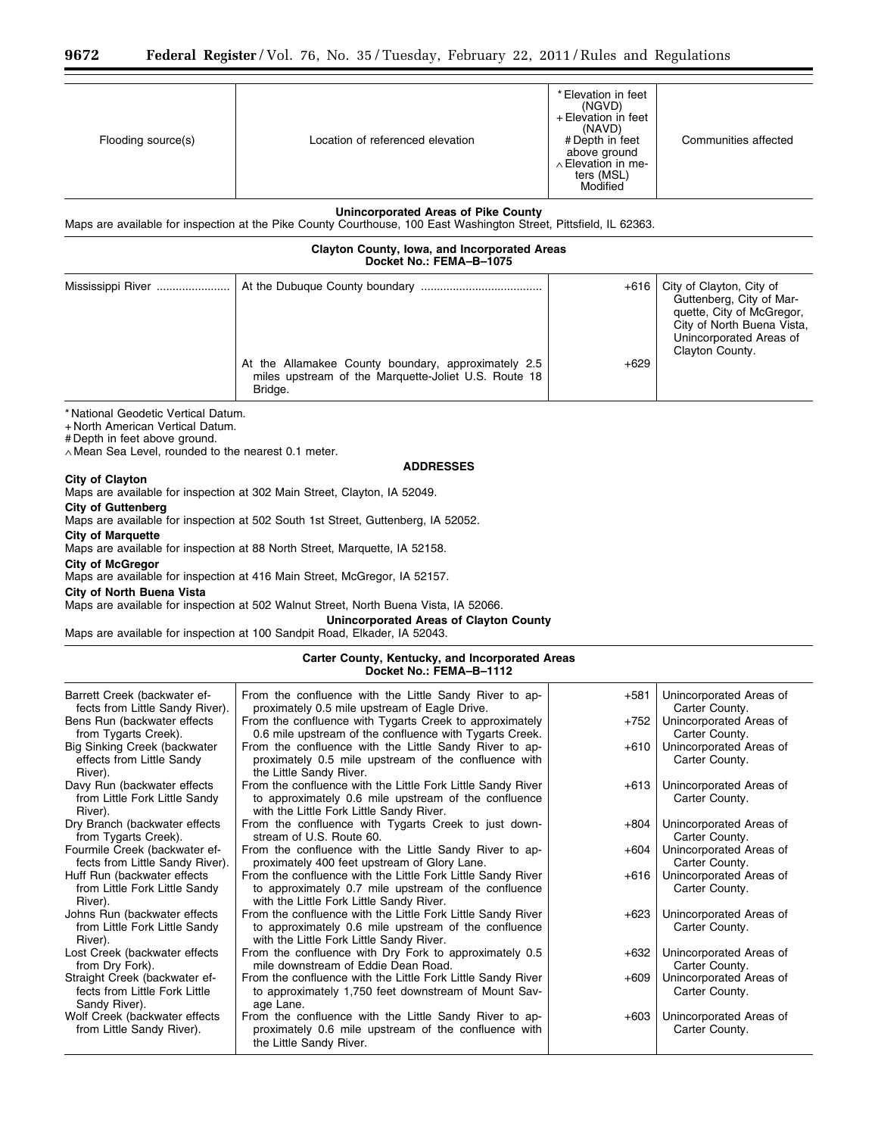| Flooding source(s)                                                                                                                                                                                                                                                                                                                                                                                                                                                                                                                                                                                                                                                                                    | Location of referenced elevation                                                                                                                                                                                                                                                                                                                | * Elevation in feet<br>(NGVD)<br>+ Elevation in feet<br>(NAVD)<br># Depth in feet<br>above ground<br>$\wedge$ Elevation in me-<br>ters (MSL)<br>Modified | Communities affected                                                                                                                       |
|-------------------------------------------------------------------------------------------------------------------------------------------------------------------------------------------------------------------------------------------------------------------------------------------------------------------------------------------------------------------------------------------------------------------------------------------------------------------------------------------------------------------------------------------------------------------------------------------------------------------------------------------------------------------------------------------------------|-------------------------------------------------------------------------------------------------------------------------------------------------------------------------------------------------------------------------------------------------------------------------------------------------------------------------------------------------|----------------------------------------------------------------------------------------------------------------------------------------------------------|--------------------------------------------------------------------------------------------------------------------------------------------|
|                                                                                                                                                                                                                                                                                                                                                                                                                                                                                                                                                                                                                                                                                                       | <b>Unincorporated Areas of Pike County</b><br>Maps are available for inspection at the Pike County Courthouse, 100 East Washington Street, Pittsfield, IL 62363.                                                                                                                                                                                |                                                                                                                                                          |                                                                                                                                            |
|                                                                                                                                                                                                                                                                                                                                                                                                                                                                                                                                                                                                                                                                                                       | Clayton County, Iowa, and Incorporated Areas<br>Docket No.: FEMA-B-1075                                                                                                                                                                                                                                                                         |                                                                                                                                                          |                                                                                                                                            |
| Mississippi River                                                                                                                                                                                                                                                                                                                                                                                                                                                                                                                                                                                                                                                                                     |                                                                                                                                                                                                                                                                                                                                                 | +616                                                                                                                                                     | City of Clayton, City of<br>Guttenberg, City of Mar-<br>quette, City of McGregor,<br>City of North Buena Vista,<br>Unincorporated Areas of |
|                                                                                                                                                                                                                                                                                                                                                                                                                                                                                                                                                                                                                                                                                                       | At the Allamakee County boundary, approximately 2.5<br>miles upstream of the Marquette-Joliet U.S. Route 18<br>Bridge.                                                                                                                                                                                                                          | $+629$                                                                                                                                                   | Clayton County.                                                                                                                            |
| * National Geodetic Vertical Datum.<br>+ North American Vertical Datum.<br>#Depth in feet above ground.                                                                                                                                                                                                                                                                                                                                                                                                                                                                                                                                                                                               |                                                                                                                                                                                                                                                                                                                                                 |                                                                                                                                                          |                                                                                                                                            |
| ∧ Mean Sea Level, rounded to the nearest 0.1 meter.                                                                                                                                                                                                                                                                                                                                                                                                                                                                                                                                                                                                                                                   |                                                                                                                                                                                                                                                                                                                                                 |                                                                                                                                                          |                                                                                                                                            |
| <b>ADDRESSES</b><br>City of Clayton<br>Maps are available for inspection at 302 Main Street, Clayton, IA 52049.<br><b>City of Guttenberg</b><br>Maps are available for inspection at 502 South 1st Street, Guttenberg, IA 52052.<br><b>City of Marquette</b><br>Maps are available for inspection at 88 North Street, Marquette, IA 52158.<br><b>City of McGregor</b><br>Maps are available for inspection at 416 Main Street, McGregor, IA 52157.<br>City of North Buena Vista<br>Maps are available for inspection at 502 Walnut Street, North Buena Vista, IA 52066.<br><b>Unincorporated Areas of Clayton County</b><br>Maps are available for inspection at 100 Sandpit Road, Elkader, IA 52043. |                                                                                                                                                                                                                                                                                                                                                 |                                                                                                                                                          |                                                                                                                                            |
|                                                                                                                                                                                                                                                                                                                                                                                                                                                                                                                                                                                                                                                                                                       | Carter County, Kentucky, and Incorporated Areas<br>Docket No.: FEMA-B-1112                                                                                                                                                                                                                                                                      |                                                                                                                                                          |                                                                                                                                            |
| Barrett Creek (backwater ef-<br>fects from Little Sandy River).<br>Bens Run (backwater effects<br>from Tygarts Creek).<br>Big Sinking Creek (backwater<br>effects from Little Sandy                                                                                                                                                                                                                                                                                                                                                                                                                                                                                                                   | From the confluence with the Little Sandy River to ap-<br>proximately 0.5 mile upstream of Eagle Drive.<br>From the confluence with Tygarts Creek to approximately<br>0.6 mile upstream of the confluence with Tygarts Creek.<br>From the confluence with the Little Sandy River to ap-<br>proximately 0.5 mile upstream of the confluence with | +581<br>+752<br>+610                                                                                                                                     | Unincorporated Areas of<br>Carter County.<br>Unincorporated Areas of<br>Carter County.<br>Unincorporated Areas of<br>Carter County.        |
| River).<br>Davy Run (backwater effects<br>from Little Fork Little Sandy<br>River).                                                                                                                                                                                                                                                                                                                                                                                                                                                                                                                                                                                                                    | the Little Sandy River.<br>From the confluence with the Little Fork Little Sandy River<br>to approximately 0.6 mile upstream of the confluence<br>with the Little Fork Little Sandy River.                                                                                                                                                      | $+613$                                                                                                                                                   | Unincorporated Areas of<br>Carter County.                                                                                                  |
| Dry Branch (backwater effects<br>from Tygarts Creek).                                                                                                                                                                                                                                                                                                                                                                                                                                                                                                                                                                                                                                                 | From the confluence with Tygarts Creek to just down-<br>stream of U.S. Route 60.                                                                                                                                                                                                                                                                | +804                                                                                                                                                     | Unincorporated Areas of<br>Carter County.                                                                                                  |
| Fourmile Creek (backwater ef-<br>fects from Little Sandy River).<br>Huff Run (backwater effects                                                                                                                                                                                                                                                                                                                                                                                                                                                                                                                                                                                                       | From the confluence with the Little Sandy River to ap-<br>proximately 400 feet upstream of Glory Lane.<br>From the confluence with the Little Fork Little Sandy River                                                                                                                                                                           | +604<br>+616                                                                                                                                             | Unincorporated Areas of<br>Carter County.<br>Unincorporated Areas of                                                                       |
| from Little Fork Little Sandy<br>River).                                                                                                                                                                                                                                                                                                                                                                                                                                                                                                                                                                                                                                                              | to approximately 0.7 mile upstream of the confluence<br>with the Little Fork Little Sandy River.                                                                                                                                                                                                                                                |                                                                                                                                                          | Carter County.                                                                                                                             |
| Johns Run (backwater effects<br>from Little Fork Little Sandy<br>River).                                                                                                                                                                                                                                                                                                                                                                                                                                                                                                                                                                                                                              | From the confluence with the Little Fork Little Sandy River<br>to approximately 0.6 mile upstream of the confluence<br>with the Little Fork Little Sandy River.                                                                                                                                                                                 | +623                                                                                                                                                     | Unincorporated Areas of<br>Carter County.                                                                                                  |
| Lost Creek (backwater effects<br>from Dry Fork).                                                                                                                                                                                                                                                                                                                                                                                                                                                                                                                                                                                                                                                      | From the confluence with Dry Fork to approximately 0.5<br>mile downstream of Eddie Dean Road.                                                                                                                                                                                                                                                   | $+632$                                                                                                                                                   | Unincorporated Areas of<br>Carter County.                                                                                                  |
| Straight Creek (backwater ef-<br>fects from Little Fork Little<br>Sandy River).                                                                                                                                                                                                                                                                                                                                                                                                                                                                                                                                                                                                                       | From the confluence with the Little Fork Little Sandy River<br>to approximately 1,750 feet downstream of Mount Sav-<br>age Lane.                                                                                                                                                                                                                | +609                                                                                                                                                     | Unincorporated Areas of<br>Carter County.                                                                                                  |
| Wolf Creek (backwater effects<br>from Little Sandy River).                                                                                                                                                                                                                                                                                                                                                                                                                                                                                                                                                                                                                                            | From the confluence with the Little Sandy River to ap-<br>proximately 0.6 mile upstream of the confluence with<br>the Little Sandy River.                                                                                                                                                                                                       | +603                                                                                                                                                     | Unincorporated Areas of<br>Carter County.                                                                                                  |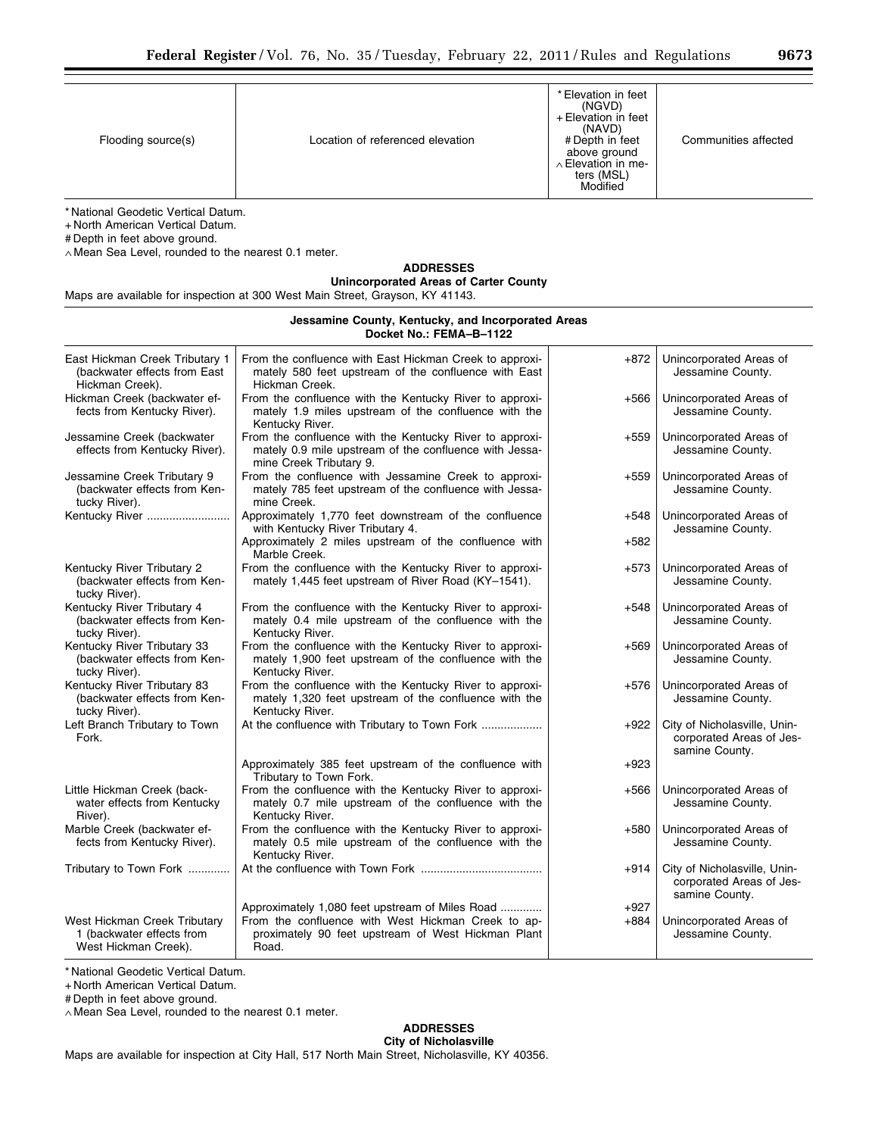| Flooding source(s) | Location of referenced elevation | * Elevation in feet<br>(NGVD)<br>+ Elevation in feet<br>(NAVD)<br># Depth in feet<br>above ground<br>Elevation in me-<br>ters (MSL)<br>Modified | Communities affected |
|--------------------|----------------------------------|-------------------------------------------------------------------------------------------------------------------------------------------------|----------------------|

\* National Geodetic Vertical Datum.

+ North American Vertical Datum.

# Depth in feet above ground.

∧ Mean Sea Level, rounded to the nearest 0.1 meter.

**ADDRESSES Unincorporated Areas of Carter County** 

Maps are available for inspection at 300 West Main Street, Grayson, KY 41143.

| Jessamine County, Kentucky, and Incorporated Areas<br>Docket No.: FEMA-B-1122     |                                                                                                                                              |        |                                                                            |
|-----------------------------------------------------------------------------------|----------------------------------------------------------------------------------------------------------------------------------------------|--------|----------------------------------------------------------------------------|
| East Hickman Creek Tributary 1<br>(backwater effects from East<br>Hickman Creek). | From the confluence with East Hickman Creek to approxi-<br>mately 580 feet upstream of the confluence with East<br>Hickman Creek.            | $+872$ | Unincorporated Areas of<br>Jessamine County.                               |
| Hickman Creek (backwater ef-<br>fects from Kentucky River).                       | From the confluence with the Kentucky River to approxi-<br>mately 1.9 miles upstream of the confluence with the<br>Kentucky River.           | $+566$ | Unincorporated Areas of<br>Jessamine County.                               |
| Jessamine Creek (backwater<br>effects from Kentucky River).                       | From the confluence with the Kentucky River to approxi-<br>mately 0.9 mile upstream of the confluence with Jessa-<br>mine Creek Tributary 9. | $+559$ | Unincorporated Areas of<br>Jessamine County.                               |
| Jessamine Creek Tributary 9<br>(backwater effects from Ken-<br>tucky River).      | From the confluence with Jessamine Creek to approxi-<br>mately 785 feet upstream of the confluence with Jessa-<br>mine Creek.                | $+559$ | Unincorporated Areas of<br>Jessamine County.                               |
| Kentucky River                                                                    | Approximately 1,770 feet downstream of the confluence<br>with Kentucky River Tributary 4.                                                    | $+548$ | Unincorporated Areas of<br>Jessamine County.                               |
|                                                                                   | Approximately 2 miles upstream of the confluence with<br>Marble Creek.                                                                       | $+582$ |                                                                            |
| Kentucky River Tributary 2<br>(backwater effects from Ken-<br>tucky River).       | From the confluence with the Kentucky River to approxi-<br>mately 1,445 feet upstream of River Road (KY-1541).                               | $+573$ | Unincorporated Areas of<br>Jessamine County.                               |
| Kentucky River Tributary 4<br>(backwater effects from Ken-<br>tucky River).       | From the confluence with the Kentucky River to approxi-<br>mately 0.4 mile upstream of the confluence with the<br>Kentucky River.            | $+548$ | Unincorporated Areas of<br>Jessamine County.                               |
| Kentucky River Tributary 33<br>(backwater effects from Ken-<br>tucky River).      | From the confluence with the Kentucky River to approxi-<br>mately 1,900 feet upstream of the confluence with the<br>Kentucky River.          | $+569$ | Unincorporated Areas of<br>Jessamine County.                               |
| Kentucky River Tributary 83<br>(backwater effects from Ken-<br>tucky River).      | From the confluence with the Kentucky River to approxi-<br>mately 1,320 feet upstream of the confluence with the<br>Kentucky River.          | +576   | Unincorporated Areas of<br>Jessamine County.                               |
| Left Branch Tributary to Town<br>Fork.                                            | At the confluence with Tributary to Town Fork                                                                                                | $+922$ | City of Nicholasville, Unin-<br>corporated Areas of Jes-<br>samine County. |
|                                                                                   | Approximately 385 feet upstream of the confluence with<br>Tributary to Town Fork.                                                            | $+923$ |                                                                            |
| Little Hickman Creek (back-<br>water effects from Kentucky<br>River).             | From the confluence with the Kentucky River to approxi-<br>mately 0.7 mile upstream of the confluence with the<br>Kentucky River.            | +566   | Unincorporated Areas of<br>Jessamine County.                               |
| Marble Creek (backwater ef-<br>fects from Kentucky River).                        | From the confluence with the Kentucky River to approxi-<br>mately 0.5 mile upstream of the confluence with the<br>Kentucky River.            | $+580$ | Unincorporated Areas of<br>Jessamine County.                               |
| Tributary to Town Fork                                                            |                                                                                                                                              | $+914$ | City of Nicholasville, Unin-<br>corporated Areas of Jes-<br>samine County. |
|                                                                                   | Approximately 1,080 feet upstream of Miles Road                                                                                              | $+927$ |                                                                            |
| West Hickman Creek Tributary<br>1 (backwater effects from<br>West Hickman Creek). | From the confluence with West Hickman Creek to ap-<br>proximately 90 feet upstream of West Hickman Plant<br>Road.                            | +884   | Unincorporated Areas of<br>Jessamine County.                               |
| * Nietingel Onedetic Ventical Detroit                                             |                                                                                                                                              |        |                                                                            |

\* National Geodetic Vertical Datum.

+ North American Vertical Datum.

# Depth in feet above ground.

∧ Mean Sea Level, rounded to the nearest 0.1 meter.

#### **ADDRESSES City of Nicholasville**

Maps are available for inspection at City Hall, 517 North Main Street, Nicholasville, KY 40356.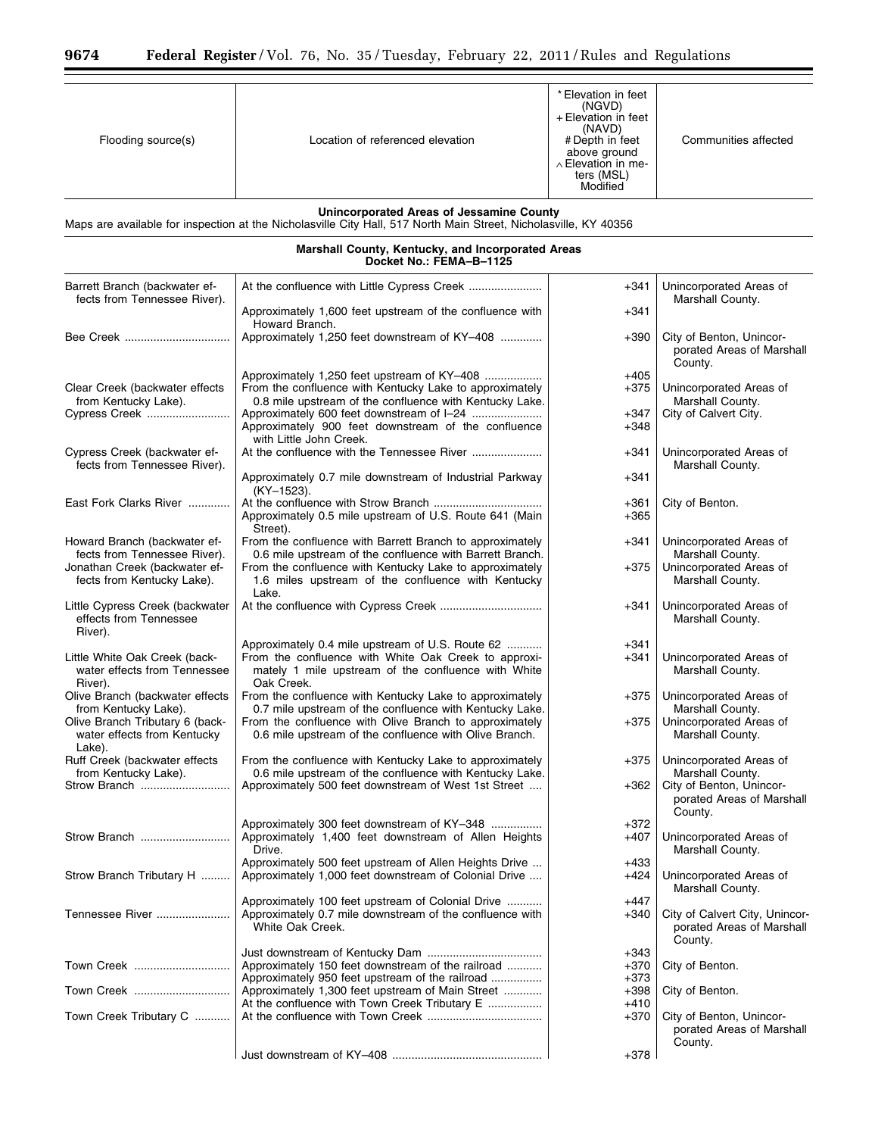| Flooding source(s)                                                       | Location of referenced elevation                                                                                                                                                                               | * Elevation in feet<br>(NGVD)<br>+ Elevation in feet<br>(NAVD)<br>#Depth in feet<br>above ground<br>∧ Elevation in me-<br>ters (MSL)<br>Modified | Communities affected                                                   |
|--------------------------------------------------------------------------|----------------------------------------------------------------------------------------------------------------------------------------------------------------------------------------------------------------|--------------------------------------------------------------------------------------------------------------------------------------------------|------------------------------------------------------------------------|
|                                                                          | Unincorporated Areas of Jessamine County<br>Maps are available for inspection at the Nicholasville City Hall, 517 North Main Street, Nicholasville, KY 40356                                                   |                                                                                                                                                  |                                                                        |
|                                                                          | Marshall County, Kentucky, and Incorporated Areas<br>Docket No.: FEMA-B-1125                                                                                                                                   |                                                                                                                                                  |                                                                        |
| Barrett Branch (backwater ef-<br>fects from Tennessee River).            |                                                                                                                                                                                                                | $+341$                                                                                                                                           | Unincorporated Areas of<br>Marshall County.                            |
|                                                                          | Approximately 1,600 feet upstream of the confluence with<br>Howard Branch.                                                                                                                                     | +341                                                                                                                                             |                                                                        |
|                                                                          | Approximately 1,250 feet downstream of KY-408                                                                                                                                                                  | +390                                                                                                                                             | City of Benton, Unincor-<br>porated Areas of Marshall<br>County.       |
| Clear Creek (backwater effects<br>from Kentucky Lake).<br>Cypress Creek  | Approximately 1,250 feet upstream of KY-408<br>From the confluence with Kentucky Lake to approximately<br>0.8 mile upstream of the confluence with Kentucky Lake.<br>Approximately 600 feet downstream of I-24 | $+405$<br>+375<br>+347                                                                                                                           | Unincorporated Areas of<br>Marshall County.<br>City of Calvert City.   |
|                                                                          | Approximately 900 feet downstream of the confluence<br>with Little John Creek.                                                                                                                                 | $+348$                                                                                                                                           |                                                                        |
| Cypress Creek (backwater ef-<br>fects from Tennessee River).             |                                                                                                                                                                                                                | +341                                                                                                                                             | Unincorporated Areas of<br>Marshall County.                            |
|                                                                          | Approximately 0.7 mile downstream of Industrial Parkway<br>(KY-1523).                                                                                                                                          | +341                                                                                                                                             |                                                                        |
| East Fork Clarks River                                                   | Approximately 0.5 mile upstream of U.S. Route 641 (Main                                                                                                                                                        | +361<br>$+365$                                                                                                                                   | City of Benton.                                                        |
| Howard Branch (backwater ef-<br>fects from Tennessee River).             | Street).<br>From the confluence with Barrett Branch to approximately<br>0.6 mile upstream of the confluence with Barrett Branch.                                                                               | +341                                                                                                                                             | Unincorporated Areas of<br>Marshall County.                            |
| Jonathan Creek (backwater ef-<br>fects from Kentucky Lake).              | From the confluence with Kentucky Lake to approximately<br>1.6 miles upstream of the confluence with Kentucky<br>Lake.                                                                                         | $+375$                                                                                                                                           | Unincorporated Areas of<br>Marshall County.                            |
| Little Cypress Creek (backwater<br>effects from Tennessee<br>River).     |                                                                                                                                                                                                                | +341                                                                                                                                             | Unincorporated Areas of<br>Marshall County.                            |
| Little White Oak Creek (back-<br>water effects from Tennessee<br>River). | Approximately 0.4 mile upstream of U.S. Route 62<br>From the confluence with White Oak Creek to approxi-<br>mately 1 mile upstream of the confluence with White<br>Oak Creek.                                  | $+341$<br>+341                                                                                                                                   | Unincorporated Areas of<br>Marshall County.                            |
| Olive Branch (backwater effects<br>from Kentucky Lake).                  | From the confluence with Kentucky Lake to approximately<br>0.7 mile upstream of the confluence with Kentucky Lake.                                                                                             | +375                                                                                                                                             | Unincorporated Areas of<br>Marshall County.                            |
| Olive Branch Tributary 6 (back-<br>water effects from Kentucky<br>Lake). | From the confluence with Olive Branch to approximately<br>0.6 mile upstream of the confluence with Olive Branch.                                                                                               | $+375$                                                                                                                                           | Unincorporated Areas of<br>Marshall County.                            |
| Ruff Creek (backwater effects<br>from Kentucky Lake).                    | From the confluence with Kentucky Lake to approximately<br>0.6 mile upstream of the confluence with Kentucky Lake.                                                                                             | $+375$                                                                                                                                           | Unincorporated Areas of<br>Marshall County.                            |
| Strow Branch                                                             | Approximately 500 feet downstream of West 1st Street                                                                                                                                                           | +362                                                                                                                                             | City of Benton, Unincor-<br>porated Areas of Marshall<br>County.       |
| Strow Branch                                                             | Approximately 300 feet downstream of KY-348<br>Approximately 1,400 feet downstream of Allen Heights<br>Drive.                                                                                                  | +372<br>+407                                                                                                                                     | Unincorporated Areas of<br>Marshall County.                            |
| Strow Branch Tributary H                                                 | Approximately 500 feet upstream of Allen Heights Drive<br>Approximately 1,000 feet downstream of Colonial Drive                                                                                                | $+433$<br>+424                                                                                                                                   | Unincorporated Areas of<br>Marshall County.                            |
| Tennessee River                                                          | Approximately 100 feet upstream of Colonial Drive<br>Approximately 0.7 mile downstream of the confluence with<br>White Oak Creek.                                                                              | $+447$<br>+340                                                                                                                                   | City of Calvert City, Unincor-<br>porated Areas of Marshall<br>County. |
| Town Creek                                                               | Approximately 150 feet downstream of the railroad                                                                                                                                                              | $+343$<br>$+370$                                                                                                                                 | City of Benton.                                                        |
| Town Creek                                                               | Approximately 950 feet upstream of the railroad<br>Approximately 1,300 feet upstream of Main Street                                                                                                            | $+373$<br>$+398$                                                                                                                                 | City of Benton.                                                        |
| Town Creek Tributary C                                                   | At the confluence with Town Creek Tributary E                                                                                                                                                                  | +410<br>+370                                                                                                                                     | City of Benton, Unincor-<br>porated Areas of Marshall<br>County.       |
|                                                                          |                                                                                                                                                                                                                | +378                                                                                                                                             |                                                                        |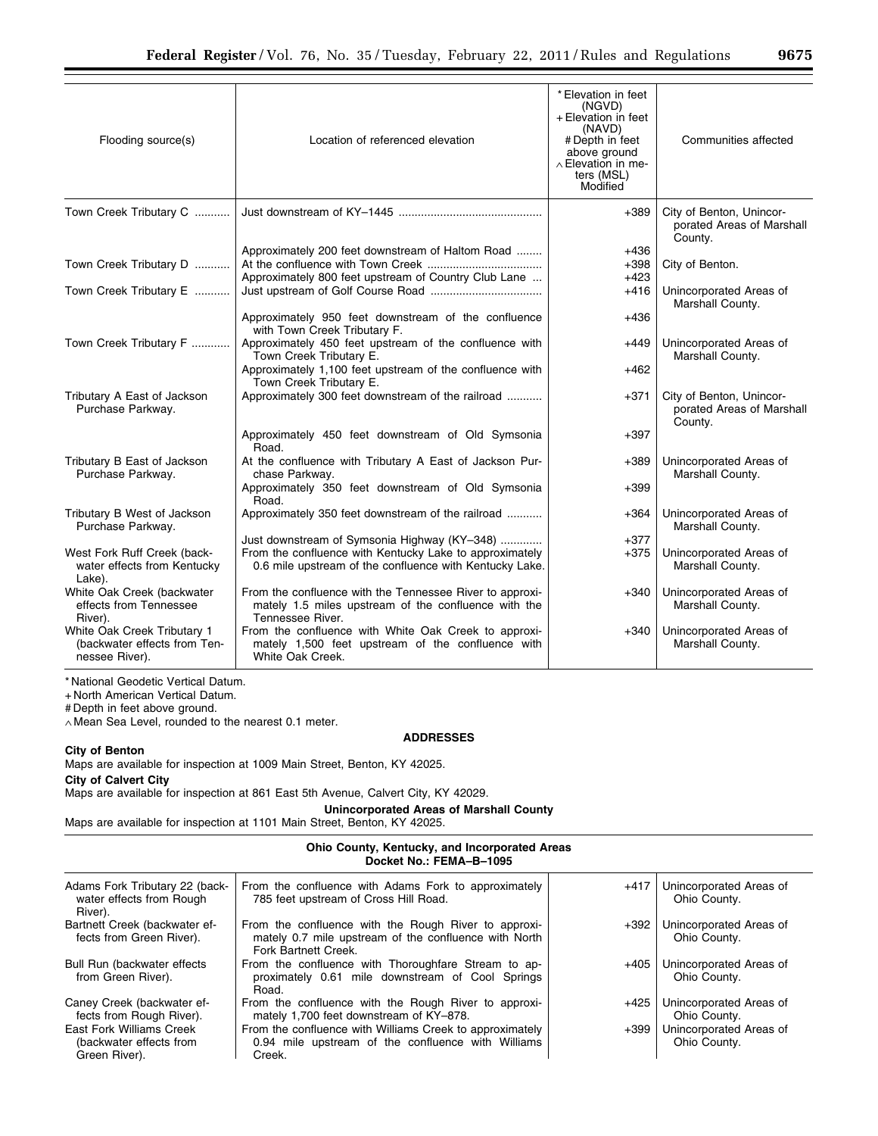| Flooding source(s)                                                            | Location of referenced elevation                                                                                                     | * Elevation in feet<br>(NGVD)<br>+ Elevation in feet<br>(NAVD)<br># Depth in feet<br>above ground<br>$\wedge$ Elevation in me-<br>ters (MSL)<br>Modified | Communities affected                                             |
|-------------------------------------------------------------------------------|--------------------------------------------------------------------------------------------------------------------------------------|----------------------------------------------------------------------------------------------------------------------------------------------------------|------------------------------------------------------------------|
| Town Creek Tributary C                                                        |                                                                                                                                      | $+389$                                                                                                                                                   | City of Benton, Unincor-<br>porated Areas of Marshall<br>County. |
| Town Creek Tributary D                                                        | Approximately 200 feet downstream of Haltom Road<br>Approximately 800 feet upstream of Country Club Lane                             | $+436$<br>$+398$<br>$+423$                                                                                                                               | City of Benton.                                                  |
| Town Creek Tributary E                                                        |                                                                                                                                      | $+416$                                                                                                                                                   | Unincorporated Areas of<br>Marshall County.                      |
|                                                                               | Approximately 950 feet downstream of the confluence<br>with Town Creek Tributary F.                                                  | $+436$                                                                                                                                                   |                                                                  |
| Town Creek Tributary F                                                        | Approximately 450 feet upstream of the confluence with<br>Town Creek Tributary E.                                                    | $+449$                                                                                                                                                   | Unincorporated Areas of<br>Marshall County.                      |
|                                                                               | Approximately 1,100 feet upstream of the confluence with<br>Town Creek Tributary E.                                                  | $+462$                                                                                                                                                   |                                                                  |
| Tributary A East of Jackson<br>Purchase Parkway.                              | Approximately 300 feet downstream of the railroad                                                                                    | $+371$                                                                                                                                                   | City of Benton, Unincor-<br>porated Areas of Marshall<br>County. |
|                                                                               | Approximately 450 feet downstream of Old Symsonia<br>Road.                                                                           | $+397$                                                                                                                                                   |                                                                  |
| Tributary B East of Jackson<br>Purchase Parkway.                              | At the confluence with Tributary A East of Jackson Pur-<br>chase Parkway.                                                            | $+389$                                                                                                                                                   | Unincorporated Areas of<br>Marshall County.                      |
|                                                                               | Approximately 350 feet downstream of Old Symsonia<br>Road.                                                                           | $+399$                                                                                                                                                   |                                                                  |
| Tributary B West of Jackson<br>Purchase Parkway.                              | Approximately 350 feet downstream of the railroad                                                                                    | $+364$                                                                                                                                                   | Unincorporated Areas of<br>Marshall County.                      |
|                                                                               | Just downstream of Symsonia Highway (KY-348)                                                                                         | $+377$                                                                                                                                                   |                                                                  |
| West Fork Ruff Creek (back-<br>water effects from Kentucky<br>Lake).          | From the confluence with Kentucky Lake to approximately<br>0.6 mile upstream of the confluence with Kentucky Lake.                   | $+375$                                                                                                                                                   | Unincorporated Areas of<br>Marshall County.                      |
| White Oak Creek (backwater<br>effects from Tennessee<br>River).               | From the confluence with the Tennessee River to approxi-<br>mately 1.5 miles upstream of the confluence with the<br>Tennessee River. | $+340$                                                                                                                                                   | Unincorporated Areas of<br>Marshall County.                      |
| White Oak Creek Tributary 1<br>(backwater effects from Ten-<br>nessee River). | From the confluence with White Oak Creek to approxi-<br>mately 1,500 feet upstream of the confluence with<br>White Oak Creek.        | $+340$                                                                                                                                                   | Unincorporated Areas of<br>Marshall County.                      |

\* National Geodetic Vertical Datum.

+ North American Vertical Datum.

# Depth in feet above ground.

∧ Mean Sea Level, rounded to the nearest 0.1 meter.

# **ADDRESSES**

# **City of Benton**

Maps are available for inspection at 1009 Main Street, Benton, KY 42025.

# **City of Calvert City**

Maps are available for inspection at 861 East 5th Avenue, Calvert City, KY 42029.

**Unincorporated Areas of Marshall County** 

Maps are available for inspection at 1101 Main Street, Benton, KY 42025.

| <b>Ohio County, Kentucky, and Incorporated Areas</b><br>Docket No.: FEMA-B-1095 |                                                                                                                                       |        |                                         |
|---------------------------------------------------------------------------------|---------------------------------------------------------------------------------------------------------------------------------------|--------|-----------------------------------------|
| Adams Fork Tributary 22 (back-<br>water effects from Rough<br>River).           | From the confluence with Adams Fork to approximately<br>785 feet upstream of Cross Hill Road.                                         | $+417$ | Unincorporated Areas of<br>Ohio County. |
| Bartnett Creek (backwater ef-<br>fects from Green River).                       | From the confluence with the Rough River to approxi-<br>mately 0.7 mile upstream of the confluence with North<br>Fork Bartnett Creek. | +392   | Unincorporated Areas of<br>Ohio County. |
| Bull Run (backwater effects<br>from Green River).                               | From the confluence with Thoroughfare Stream to ap-<br>proximately 0.61 mile downstream of Cool Springs<br>Road.                      | $+405$ | Unincorporated Areas of<br>Ohio County. |
| Caney Creek (backwater ef-<br>fects from Rough River).                          | From the confluence with the Rough River to approxi-<br>mately 1,700 feet downstream of KY-878.                                       | $+425$ | Unincorporated Areas of<br>Ohio County. |
| <b>East Fork Williams Creek</b><br>(backwater effects from<br>Green River).     | From the confluence with Williams Creek to approximately<br>0.94 mile upstream of the confluence with Williams<br>Creek.              | $+399$ | Unincorporated Areas of<br>Ohio County. |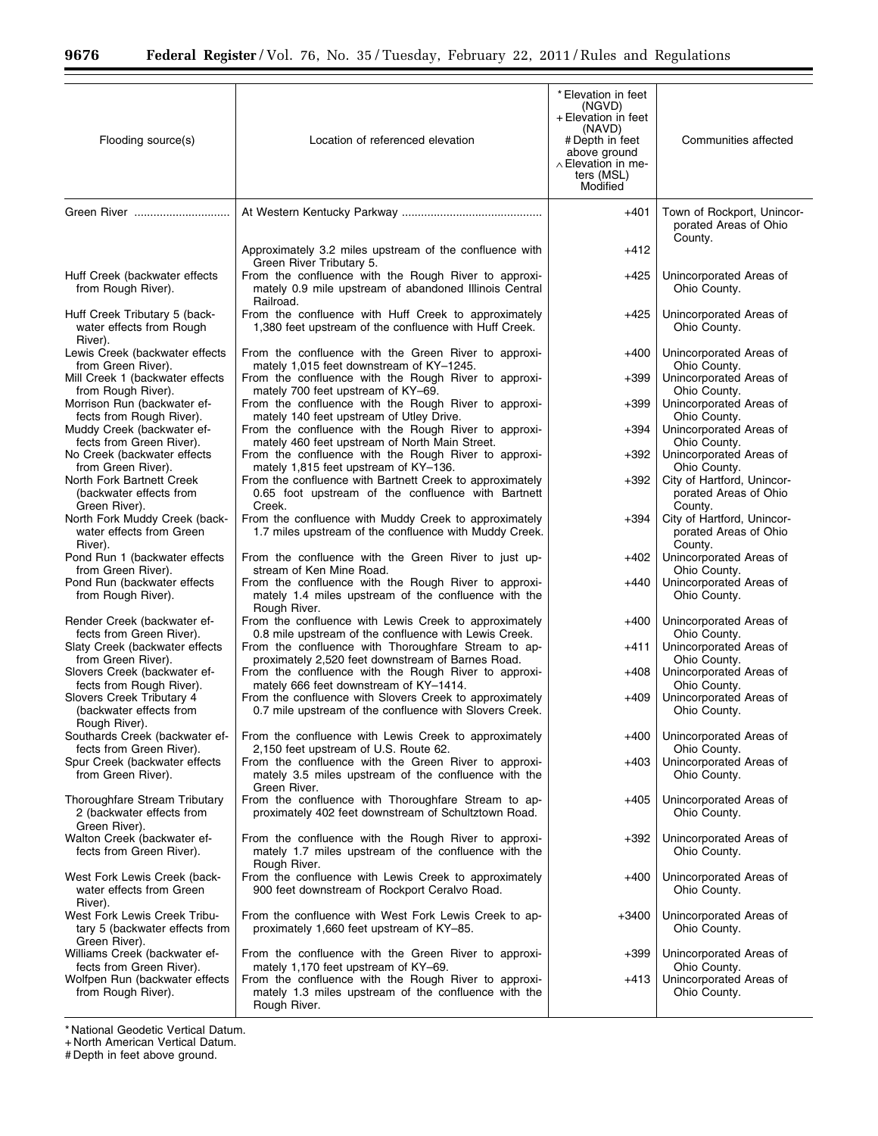$\equiv$ 

Ξ

| Flooding source(s)                                                          | Location of referenced elevation                                                                                             | * Elevation in feet<br>(NGVD)<br>+ Elevation in feet<br>(NAVD)<br># Depth in feet<br>above ground<br>$\wedge$ Elevation in me-<br>ters (MSL)<br>Modified | Communities affected                                           |
|-----------------------------------------------------------------------------|------------------------------------------------------------------------------------------------------------------------------|----------------------------------------------------------------------------------------------------------------------------------------------------------|----------------------------------------------------------------|
| Green River                                                                 |                                                                                                                              | +401                                                                                                                                                     | Town of Rockport, Unincor-<br>porated Areas of Ohio            |
|                                                                             | Approximately 3.2 miles upstream of the confluence with<br>Green River Tributary 5.                                          | $+412$                                                                                                                                                   | County.                                                        |
| Huff Creek (backwater effects<br>from Rough River).                         | From the confluence with the Rough River to approxi-<br>mately 0.9 mile upstream of abandoned Illinois Central<br>Railroad.  | +425                                                                                                                                                     | Unincorporated Areas of<br>Ohio County.                        |
| Huff Creek Tributary 5 (back-<br>water effects from Rough<br>River).        | From the confluence with Huff Creek to approximately<br>1,380 feet upstream of the confluence with Huff Creek.               | +425                                                                                                                                                     | Unincorporated Areas of<br>Ohio County.                        |
| Lewis Creek (backwater effects<br>from Green River).                        | From the confluence with the Green River to approxi-<br>mately 1,015 feet downstream of KY-1245.                             | $+400$                                                                                                                                                   | Unincorporated Areas of<br>Ohio County.                        |
| Mill Creek 1 (backwater effects<br>from Rough River).                       | From the confluence with the Rough River to approxi-<br>mately 700 feet upstream of KY-69.                                   | $+399$                                                                                                                                                   | Unincorporated Areas of<br>Ohio County.                        |
| Morrison Run (backwater ef-<br>fects from Rough River).                     | From the confluence with the Rough River to approxi-<br>mately 140 feet upstream of Utley Drive.                             | $+399$                                                                                                                                                   | Unincorporated Areas of<br>Ohio County.                        |
| Muddy Creek (backwater ef-<br>fects from Green River).                      | From the confluence with the Rough River to approxi-<br>mately 460 feet upstream of North Main Street.                       | $+394$                                                                                                                                                   | Unincorporated Areas of<br>Ohio County.                        |
| No Creek (backwater effects<br>from Green River).                           | From the confluence with the Rough River to approxi-<br>mately 1,815 feet upstream of KY-136.                                | $+392$                                                                                                                                                   | Unincorporated Areas of<br>Ohio County.                        |
| North Fork Bartnett Creek<br>(backwater effects from<br>Green River).       | From the confluence with Bartnett Creek to approximately<br>0.65 foot upstream of the confluence with Bartnett<br>Creek.     | $+392$                                                                                                                                                   | City of Hartford, Unincor-<br>porated Areas of Ohio<br>County. |
| North Fork Muddy Creek (back-<br>water effects from Green<br>River).        | From the confluence with Muddy Creek to approximately<br>1.7 miles upstream of the confluence with Muddy Creek.              | +394                                                                                                                                                     | City of Hartford, Unincor-<br>porated Areas of Ohio<br>County. |
| Pond Run 1 (backwater effects<br>from Green River).                         | From the confluence with the Green River to just up-<br>stream of Ken Mine Road.                                             | $+402$                                                                                                                                                   | Unincorporated Areas of<br>Ohio County.                        |
| Pond Run (backwater effects<br>from Rough River).                           | From the confluence with the Rough River to approxi-<br>mately 1.4 miles upstream of the confluence with the<br>Rough River. | +440                                                                                                                                                     | Unincorporated Areas of<br>Ohio County.                        |
| Render Creek (backwater ef-<br>fects from Green River).                     | From the confluence with Lewis Creek to approximately<br>0.8 mile upstream of the confluence with Lewis Creek.               | +400                                                                                                                                                     | Unincorporated Areas of<br>Ohio County.                        |
| Slaty Creek (backwater effects<br>from Green River).                        | From the confluence with Thoroughfare Stream to ap-<br>proximately 2,520 feet downstream of Barnes Road.                     | $+411$                                                                                                                                                   | Unincorporated Areas of<br>Ohio County.                        |
| Slovers Creek (backwater ef-<br>fects from Rough River).                    | From the confluence with the Rough River to approxi-<br>mately 666 feet downstream of KY-1414.                               | $+408$                                                                                                                                                   | Unincorporated Areas of<br>Ohio County.                        |
| Slovers Creek Tributary 4<br>(backwater effects from<br>Rough River).       | From the confluence with Slovers Creek to approximately<br>0.7 mile upstream of the confluence with Slovers Creek.           | $+409$                                                                                                                                                   | Unincorporated Areas of<br>Ohio County.                        |
| Southards Creek (backwater ef-<br>fects from Green River).                  | From the confluence with Lewis Creek to approximately<br>2,150 feet upstream of U.S. Route 62.                               | $+400$                                                                                                                                                   | Unincorporated Areas of<br>Ohio County.                        |
| Spur Creek (backwater effects<br>from Green River).                         | From the confluence with the Green River to approxi-<br>mately 3.5 miles upstream of the confluence with the<br>Green River. | $+403$                                                                                                                                                   | Unincorporated Areas of<br>Ohio County.                        |
| Thoroughfare Stream Tributary<br>2 (backwater effects from<br>Green River). | From the confluence with Thoroughfare Stream to ap-<br>proximately 402 feet downstream of Schultztown Road.                  | $+405$                                                                                                                                                   | Unincorporated Areas of<br>Ohio County.                        |
| Walton Creek (backwater ef-<br>fects from Green River).                     | From the confluence with the Rough River to approxi-<br>mately 1.7 miles upstream of the confluence with the<br>Rough River. | $+392$                                                                                                                                                   | Unincorporated Areas of<br>Ohio County.                        |
| West Fork Lewis Creek (back-<br>water effects from Green                    | From the confluence with Lewis Creek to approximately<br>900 feet downstream of Rockport Ceralvo Road.                       | $+400$                                                                                                                                                   | Unincorporated Areas of<br>Ohio County.                        |
| River).<br>West Fork Lewis Creek Tribu-<br>tary 5 (backwater effects from   | From the confluence with West Fork Lewis Creek to ap-<br>proximately 1,660 feet upstream of KY-85.                           | +3400                                                                                                                                                    | Unincorporated Areas of<br>Ohio County.                        |
| Green River).<br>Williams Creek (backwater ef-<br>fects from Green River).  | From the confluence with the Green River to approxi-<br>mately 1,170 feet upstream of KY-69.                                 | +399                                                                                                                                                     | Unincorporated Areas of<br>Ohio County.                        |
| Wolfpen Run (backwater effects<br>from Rough River).                        | From the confluence with the Rough River to approxi-<br>mately 1.3 miles upstream of the confluence with the<br>Rough River. | +413                                                                                                                                                     | Unincorporated Areas of<br>Ohio County.                        |

\* National Geodetic Vertical Datum.

+ North American Vertical Datum.

# Depth in feet above ground.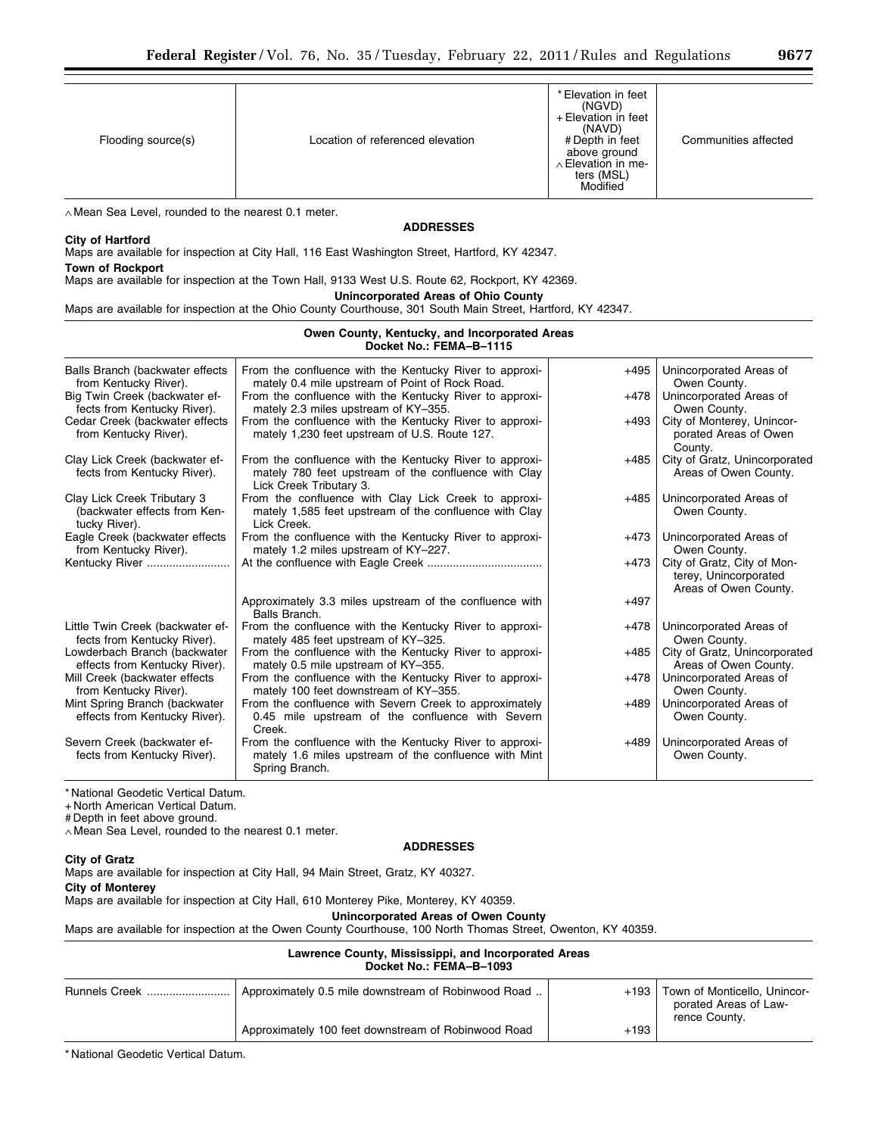| Flooding source(s) | Location of referenced elevation | * Elevation in feet<br>(NGVD)<br>+ Elevation in feet<br>(NAVD)<br># Depth in feet<br>above ground<br>$\land$ Elevation in me-<br>ters (MSL)<br>Modified | Communities affected |
|--------------------|----------------------------------|---------------------------------------------------------------------------------------------------------------------------------------------------------|----------------------|

∧ Mean Sea Level, rounded to the nearest 0.1 meter.

**ADDRESSES** 

#### **City of Hartford**

Maps are available for inspection at City Hall, 116 East Washington Street, Hartford, KY 42347.

**Town of Rockport** 

# Maps are available for inspection at the Town Hall, 9133 West U.S. Route 62, Rockport, KY 42369. **Unincorporated Areas of Ohio County**

Maps are available for inspection at the Ohio County Courthouse, 301 South Main Street, Hartford, KY 42347.

## **Owen County, Kentucky, and Incorporated Areas Docket No.: FEMA–B–1115**

| Balls Branch (backwater effects<br>from Kentucky River).                     | From the confluence with the Kentucky River to approxi-<br>mately 0.4 mile upstream of Point of Rock Road.                                 | +495   | Unincorporated Areas of<br>Owen County.                                       |
|------------------------------------------------------------------------------|--------------------------------------------------------------------------------------------------------------------------------------------|--------|-------------------------------------------------------------------------------|
| Big Twin Creek (backwater ef-<br>fects from Kentucky River).                 | From the confluence with the Kentucky River to approxi-<br>mately 2.3 miles upstream of KY-355.                                            | $+478$ | Unincorporated Areas of<br>Owen County.                                       |
| Cedar Creek (backwater effects<br>from Kentucky River).                      | From the confluence with the Kentucky River to approxi-<br>mately 1,230 feet upstream of U.S. Route 127.                                   | $+493$ | City of Monterey, Unincor-<br>porated Areas of Owen<br>County.                |
| Clay Lick Creek (backwater ef-<br>fects from Kentucky River).                | From the confluence with the Kentucky River to approxi-<br>mately 780 feet upstream of the confluence with Clay<br>Lick Creek Tributary 3. | +485   | City of Gratz, Unincorporated<br>Areas of Owen County.                        |
| Clay Lick Creek Tributary 3<br>(backwater effects from Ken-<br>tucky River). | From the confluence with Clay Lick Creek to approxi-<br>mately 1,585 feet upstream of the confluence with Clay<br>Lick Creek.              | $+485$ | Unincorporated Areas of<br>Owen County.                                       |
| Eagle Creek (backwater effects<br>from Kentucky River).                      | From the confluence with the Kentucky River to approxi-<br>mately 1.2 miles upstream of KY-227.                                            | +473   | Unincorporated Areas of<br>Owen County.                                       |
| Kentucky River                                                               |                                                                                                                                            | $+473$ | City of Gratz, City of Mon-<br>terey, Unincorporated<br>Areas of Owen County. |
|                                                                              | Approximately 3.3 miles upstream of the confluence with<br>Balls Branch.                                                                   | $+497$ |                                                                               |
| Little Twin Creek (backwater ef-<br>fects from Kentucky River).              | From the confluence with the Kentucky River to approxi-<br>mately 485 feet upstream of KY-325.                                             | +478   | Unincorporated Areas of<br>Owen County.                                       |
| Lowderbach Branch (backwater<br>effects from Kentucky River).                | From the confluence with the Kentucky River to approxi-<br>mately 0.5 mile upstream of KY-355.                                             | +485   | City of Gratz, Unincorporated<br>Areas of Owen County.                        |
| Mill Creek (backwater effects<br>from Kentucky River).                       | From the confluence with the Kentucky River to approxi-<br>mately 100 feet downstream of KY-355.                                           | $+478$ | Unincorporated Areas of<br>Owen County.                                       |
| Mint Spring Branch (backwater<br>effects from Kentucky River).               | From the confluence with Severn Creek to approximately<br>0.45 mile upstream of the confluence with Severn<br>Creek.                       | +489   | Unincorporated Areas of<br>Owen County.                                       |
| Severn Creek (backwater ef-<br>fects from Kentucky River).                   | From the confluence with the Kentucky River to approxi-<br>mately 1.6 miles upstream of the confluence with Mint<br>Spring Branch.         | +489   | Unincorporated Areas of<br>Owen County.                                       |

\* National Geodetic Vertical Datum.

+ North American Vertical Datum.

# Depth in feet above ground.

∧ Mean Sea Level, rounded to the nearest 0.1 meter.

#### **ADDRESSES**

# **City of Gratz**

Maps are available for inspection at City Hall, 94 Main Street, Gratz, KY 40327. **City of Monterey** 

Maps are available for inspection at City Hall, 610 Monterey Pike, Monterey, KY 40359.

**Unincorporated Areas of Owen County** 

Maps are available for inspection at the Owen County Courthouse, 100 North Thomas Street, Owenton, KY 40359.

| Lawrence County, Mississippi, and Incorporated Areas<br>Docket No.: FEMA-B-1093 |                                                     |        |                                                                        |
|---------------------------------------------------------------------------------|-----------------------------------------------------|--------|------------------------------------------------------------------------|
|                                                                                 | Approximately 0.5 mile downstream of Robinwood Road | $+193$ | Town of Monticello, Unincor-<br>porated Areas of Law-<br>rence County. |
|                                                                                 | Approximately 100 feet downstream of Robinwood Road | $+193$ |                                                                        |

\* National Geodetic Vertical Datum.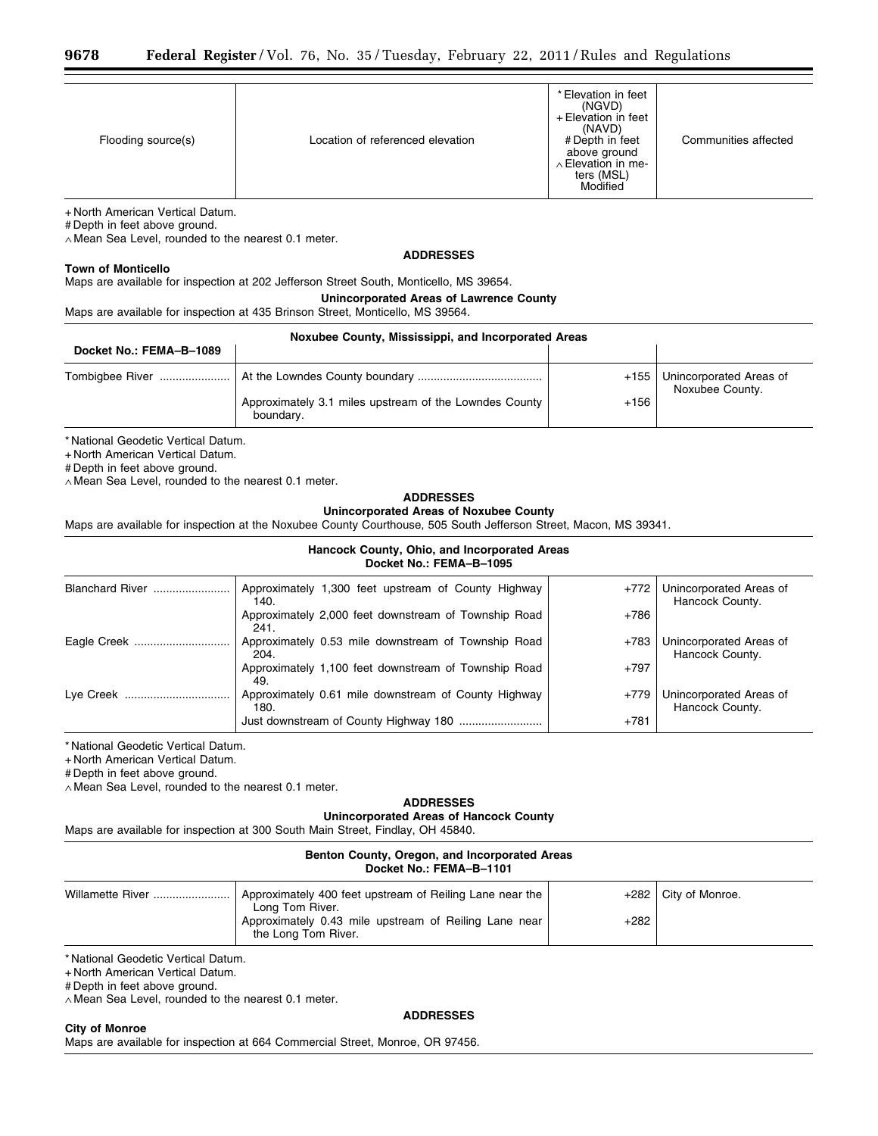| * Elevation in feet<br>(NGVD)<br>+ Elevation in feet<br>(NAVD)<br>Location of referenced elevation<br>Flooding source(s)<br># Depth in feet<br>above ground<br>$\land$ Elevation in me-<br>ters (MSL)<br>Modified | Communities affected |
|-------------------------------------------------------------------------------------------------------------------------------------------------------------------------------------------------------------------|----------------------|

+ North American Vertical Datum.

# Depth in feet above ground.

∧ Mean Sea Level, rounded to the nearest 0.1 meter.

## **ADDRESSES**

## **Town of Monticello**

Maps are available for inspection at 202 Jefferson Street South, Monticello, MS 39654.

**Unincorporated Areas of Lawrence County** 

Maps are available for inspection at 435 Brinson Street, Monticello, MS 39564.

| Noxubee County, Mississippi, and Incorporated Areas |                                                                     |        |                                            |
|-----------------------------------------------------|---------------------------------------------------------------------|--------|--------------------------------------------|
| Docket No.: FEMA-B-1089                             |                                                                     |        |                                            |
|                                                     |                                                                     | $+155$ | Unincorporated Areas of<br>Noxubee County. |
|                                                     | Approximately 3.1 miles upstream of the Lowndes County<br>boundary. | $+156$ |                                            |

\* National Geodetic Vertical Datum.

+ North American Vertical Datum.

# Depth in feet above ground.

∧ Mean Sea Level, rounded to the nearest 0.1 meter.

# **ADDRESSES**

# **Unincorporated Areas of Noxubee County**

Maps are available for inspection at the Noxubee County Courthouse, 505 South Jefferson Street, Macon, MS 39341.

# **Hancock County, Ohio, and Incorporated Areas Docket No.: FEMA–B–1095**

| <b>Blanchard River</b> | Approximately 1,300 feet upstream of County Highway<br>140.  | $+772$ | Unincorporated Areas of<br>Hancock County. |
|------------------------|--------------------------------------------------------------|--------|--------------------------------------------|
|                        | Approximately 2,000 feet downstream of Township Road<br>241. | $+786$ |                                            |
| Eagle Creek.           | Approximately 0.53 mile downstream of Township Road<br>204.  | $+783$ | Unincorporated Areas of<br>Hancock County. |
|                        | Approximately 1,100 feet downstream of Township Road<br>49.  | $+797$ |                                            |
| Lye Creek              | Approximately 0.61 mile downstream of County Highway<br>180. | $+779$ | Unincorporated Areas of<br>Hancock County. |
|                        |                                                              | $+781$ |                                            |

\* National Geodetic Vertical Datum.

+ North American Vertical Datum.

# Depth in feet above ground.

∧ Mean Sea Level, rounded to the nearest 0.1 meter.

# **ADDRESSES**

**Unincorporated Areas of Hancock County** 

Maps are available for inspection at 300 South Main Street, Findlay, OH 45840.

#### **Benton County, Oregon, and Incorporated Areas Docket No.: FEMA–B–1101**

| Willamette River | Approximately 400 feet upstream of Reiling Lane near the                                        |        | +282   City of Monroe. |
|------------------|-------------------------------------------------------------------------------------------------|--------|------------------------|
|                  | Long Tom River.<br>Approximately 0.43 mile upstream of Reiling Lane near<br>the Long Tom River. | $+282$ |                        |

\* National Geodetic Vertical Datum.

+ North American Vertical Datum.

# Depth in feet above ground.

∧ Mean Sea Level, rounded to the nearest 0.1 meter.

**City of Monroe** 

**ADDRESSES** 

Maps are available for inspection at 664 Commercial Street, Monroe, OR 97456.